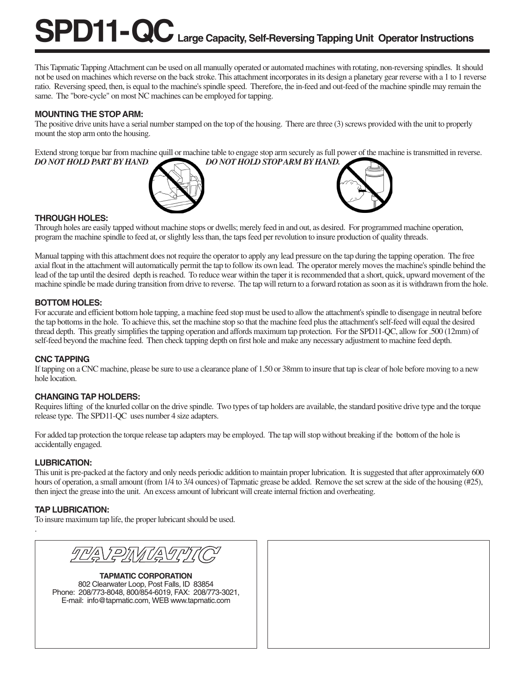# **SPD11-QC** Large Capacity, Self-Reversing Tapping Unit Operator Instructions

This Tapmatic Tapping Attachment can be used on all manually operated or automated machines with rotating, non-reversing spindles. It should not be used on machines which reverse on the back stroke. This attachment incorporates in its design a planetary gear reverse with a 1 to 1 reverse ratio. Reversing speed, then, is equal to the machine's spindle speed. Therefore, the in-feed and out-feed of the machine spindle may remain the same. The "bore-cycle" on most NC machines can be employed for tapping.

#### **MOUNTING THE STOP ARM:**

The positive drive units have a serial number stamped on the top of the housing. There are three (3) screws provided with the unit to properly mount the stop arm onto the housing.

Extend strong torque bar from machine quill or machine table to engage stop arm securely as full power of the machine is transmitted in reverse. *DO NOT HOLD PART BY HAND. DO NOT HOLD STOP ARM BY HAND.*





#### **THROUGH HOLES:**

Through holes are easily tapped without machine stops or dwells; merely feed in and out, as desired. For programmed machine operation, program the machine spindle to feed at, or slightly less than, the taps feed per revolution to insure production of quality threads.

Manual tapping with this attachment does not require the operator to apply any lead pressure on the tap during the tapping operation. The free axial float in the attachment will automatically permit the tap to follow its own lead. The operator merely moves the machine's spindle behind the lead of the tap until the desired depth is reached. To reduce wear within the taper it is recommended that a short, quick, upward movement of the machine spindle be made during transition from drive to reverse. The tap will return to a forward rotation as soon as it is withdrawn from the hole.

## **BOTTOM HOLES:**

For accurate and efficient bottom hole tapping, a machine feed stop must be used to allow the attachment's spindle to disengage in neutral before the tap bottoms in the hole. To achieve this, set the machine stop so that the machine feed plus the attachment's self-feed will equal the desired thread depth. This greatly simplifies the tapping operation and affords maximum tap protection. For the SPD11-QC, allow for .500 (12mm) of self-feed beyond the machine feed. Then check tapping depth on first hole and make any necessary adjustment to machine feed depth.

#### **CNC TAPPING**

If tapping on a CNC machine, please be sure to use a clearance plane of 1.50 or 38mm to insure that tap is clear of hole before moving to a new hole location.

#### **CHANGING TAP HOLDERS:**

Requires lifting of the knurled collar on the drive spindle. Two types of tap holders are available, the standard positive drive type and the torque release type. The SPD11-QC uses number 4 size adapters.

For added tap protection the torque release tap adapters may be employed. The tap will stop without breaking if the bottom of the hole is accidentally engaged.

#### **LUBRICATION:**

This unit is pre-packed at the factory and only needs periodic addition to maintain proper lubrication. It is suggested that after approximately 600 hours of operation, a small amount (from  $1/4$  to  $3/4$  ounces) of Tapmatic grease be added. Remove the set screw at the side of the housing (#25), then inject the grease into the unit. An excess amount of lubricant will create internal friction and overheating.

## **TAP LUBRICATION:**

.

To insure maximum tap life, the proper lubricant should be used.



**TAPMATIC CORPORATION** 802 Clearwater Loop, Post Falls, ID 83854 Phone: 208/773-8048, 800/854-6019, FAX: 208/773-3021, E-mail: info@tapmatic.com, WEB www.tapmatic.com